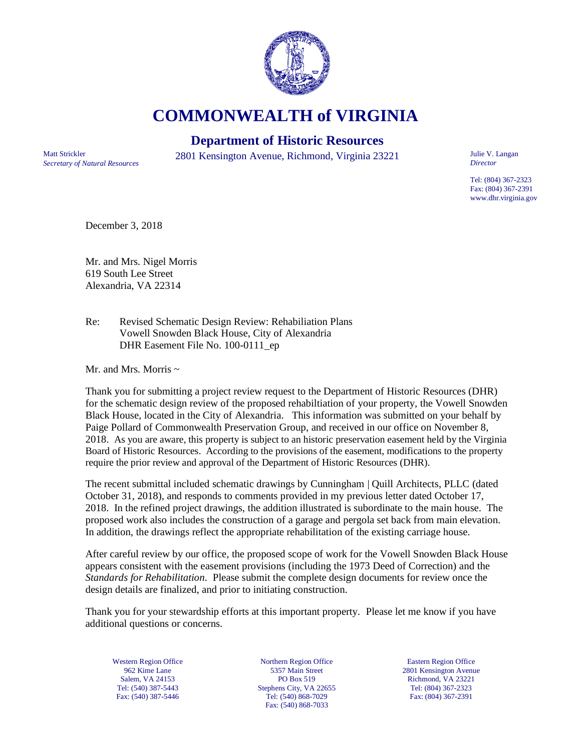

**COMMONWEALTH of VIRGINIA**

## **Department of Historic Resources**

*Secretary of Natural Resources*

Matt Strickler 2801 Kensington Avenue, Richmond, Virginia 23221

Julie V. Langan *Director*

Tel: (804) 367-2323 Fax: (804) 367-2391 www.dhr.virginia.gov

December 3, 2018

Mr. and Mrs. Nigel Morris 619 South Lee Street Alexandria, VA 22314

Re: Revised Schematic Design Review: Rehabiliation Plans Vowell Snowden Black House, City of Alexandria DHR Easement File No. 100-0111\_ep

Mr. and Mrs. Morris  $\sim$ 

Thank you for submitting a project review request to the Department of Historic Resources (DHR) for the schematic design review of the proposed rehabiltiation of your property, the Vowell Snowden Black House, located in the City of Alexandria. This information was submitted on your behalf by Paige Pollard of Commonwealth Preservation Group, and received in our office on November 8, 2018. As you are aware, this property is subject to an historic preservation easement held by the Virginia Board of Historic Resources. According to the provisions of the easement, modifications to the property require the prior review and approval of the Department of Historic Resources (DHR).

The recent submittal included schematic drawings by Cunningham | Quill Architects, PLLC (dated October 31, 2018), and responds to comments provided in my previous letter dated October 17, 2018. In the refined project drawings, the addition illustrated is subordinate to the main house. The proposed work also includes the construction of a garage and pergola set back from main elevation. In addition, the drawings reflect the appropriate rehabilitation of the existing carriage house.

After careful review by our office, the proposed scope of work for the Vowell Snowden Black House appears consistent with the easement provisions (including the 1973 Deed of Correction) and the *Standards for Rehabilitation.* Please submit the complete design documents for review once the design details are finalized, and prior to initiating construction.

Thank you for your stewardship efforts at this important property. Please let me know if you have additional questions or concerns.

Western Region Office 962 Kime Lane Salem, VA 24153 Tel: (540) 387-5443 Fax: (540) 387-5446

Northern Region Office 5357 Main Street PO Box 519 Stephens City, VA 22655 Tel: (540) 868-7029 Fax: (540) 868-7033

Eastern Region Office 2801 Kensington Avenue Richmond, VA 23221 Tel: (804) 367-2323 Fax: (804) 367-2391